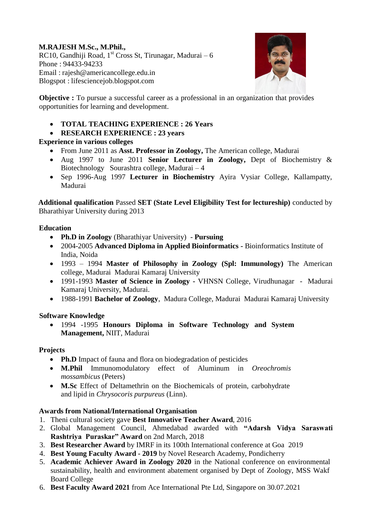# **M.RAJESH M.Sc., M.Phil.,**

RC10, Gandhiji Road, 1<sup>st</sup> Cross St, Tirunagar, Madurai – 6 Phone : 94433-94233 Email : rajesh@americancollege.edu.in Blogspot : lifesciencejob.blogspot.com



**Objective :** To pursue a successful career as a professional in an organization that provides opportunities for learning and development.

- **TOTAL TEACHING EXPERIENCE : 26 Years**
- **RESEARCH EXPERIENCE : 23 years**

## **Experience in various colleges**

- From June 2011 as **Asst. Professor in Zoology,** The American college, Madurai
- Aug 1997 to June 2011 **Senior Lecturer in Zoology,** Dept of Biochemistry & Biotechnology Sourashtra college, Madurai – 4
- Sep 1996-Aug 1997 **Lecturer in Biochemistry** Ayira Vysiar College, Kallampatty, Madurai

**Additional qualification** Passed **SET (State Level Eligibility Test for lectureship)** conducted by Bharathiyar University during 2013

## **Education**

- **Ph.D in Zoology** (Bharathiyar University) **Pursuing**
- 2004-2005 **Advanced Diploma in Applied Bioinformatics -** Bioinformatics Institute of India, Noida
- 1993 1994 **Master of Philosophy in Zoology (Spl: Immunology)** The American college, Madurai Madurai Kamaraj University
- 1991-1993 **Master of Science in Zoology -** VHNSN College, Virudhunagar Madurai Kamaraj University, Madurai.
- 1988-1991 **Bachelor of Zoology**, Madura College, Madurai Madurai Kamaraj University

# **Software Knowledge**

 1994 -1995 **Honours Diploma in Software Technology and System Management,** NIIT, Madurai

# **Projects**

- **Ph.D** Impact of fauna and flora on biodegradation of pesticides
- **M.Phil** Immunomodulatory effect of Aluminum in *Oreochromis mossambicus* (Peters)
- **M.Sc** Effect of Deltamethrin on the Biochemicals of protein, carbohydrate and lipid in *Chrysocoris purpureus* (Linn).

# **Awards from National/International Organisation**

- 1. Theni cultural society gave **Best Innovative Teacher Award**, 2016
- 2. Global Management Council, Ahmedabad awarded with **"Adarsh Vidya Saraswati Rashtriya Puraskar" Award** on 2nd March, 2018
- 3. **Best Researcher Award** by IMRF in its 100th International conference at Goa 2019
- 4. **Best Young Faculty Award - 2019** by Novel Research Academy, Pondicherry
- 5. **Academic Achiever Award in Zoology 2020** in the National conference on environmental sustainability, health and environment abatement organised by Dept of Zoology, MSS Wakf Board College
- 6. **Best Faculty Award 2021** from Ace International Pte Ltd, Singapore on 30.07.2021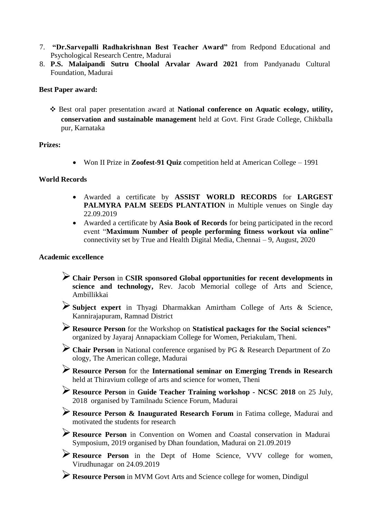- 7. **"Dr.Sarvepalli Radhakrishnan Best Teacher Award"** from Redpond Educational and Psychological Research Centre, Madurai
- 8. **P.S. Malaipandi Sutru Choolal Arvalar Award 2021** from Pandyanadu Cultural Foundation, Madurai

#### **Best Paper award:**

❖ Best oral paper presentation award at **National conference on Aquatic ecology, utility, conservation and sustainable management** held at Govt. First Grade College, Chikballa pur, Karnataka

#### **Prizes:**

Won II Prize in **Zoofest-91 Quiz** competition held at American College – 1991

#### **World Records**

- Awarded a certificate by **ASSIST WORLD RECORDS** for **LARGEST PALMYRA PALM SEEDS PLANTATION** in Multiple venues on Single day 22.09.2019
- Awarded a certificate by **Asia Book of Records** for being participated in the record event "**Maximum Number of people performing fitness workout via online**" connectivity set by True and Health Digital Media, Chennai – 9, August, 2020

#### **Academic excellence**

- **Chair Person** in **CSIR sponsored Global opportunities for recent developments in science and technology,** Rev. Jacob Memorial college of Arts and Science, Ambillikkai
- **Subject expert** in Thyagi Dharmakkan Amirtham College of Arts & Science, Kannirajapuram, Ramnad District
- **Resource Person** for the Workshop on **Statistical packages for the Social sciences"**  organized by Jayaraj Annapackiam College for Women, Periakulam, Theni.
- **Chair Person** in National conference organised by PG & Research Department of Zo ology, The American college, Madurai
- **Resource Person** for the **International seminar on Emerging Trends in Research** held at Thiravium college of arts and science for women, Theni
- **Resource Person** in **Guide Teacher Training workshop - NCSC 2018** on 25 July, 2018 organised by Tamilnadu Science Forum, Madurai
- **Resource Person & Inaugurated Research Forum** in Fatima college, Madurai and motivated the students for research
- **Resource Person** in Convention on Women and Coastal conservation in Madurai Symposium, 2019 organised by Dhan foundation, Madurai on 21.09.2019
- **Resource Person** in the Dept of Home Science, VVV college for women, Virudhunagar on 24.09.2019
- **Resource Person** in MVM Govt Arts and Science college for women, Dindigul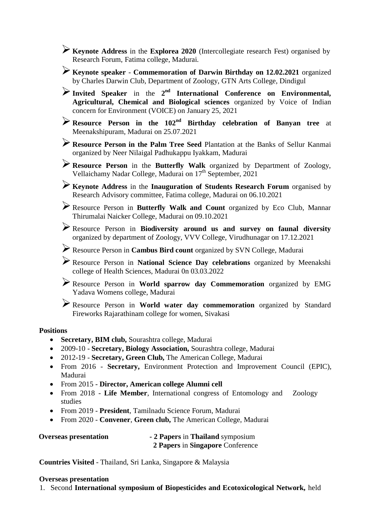**Keynote Address** in the **Explorea 2020** (Intercollegiate research Fest) organised by Research Forum, Fatima college, Madurai.

**Keynote speaker** - **Commemoration of Darwin Birthday on 12.02.2021** organized by Charles Darwin Club, Department of Zoology, GTN Arts College, Dindigul

Invited Speaker in the 2<sup>nd</sup> International Conference on Environmental, **Agricultural, Chemical and Biological sciences** organized by Voice of Indian concern for Environment (VOICE) on January 25, 2021

**Resource Person in the 102nd Birthday celebration of Banyan tree** at Meenakshipuram, Madurai on 25.07.2021

**Resource Person in the Palm Tree Seed** Plantation at the Banks of Sellur Kanmai organized by Neer Nilaigal Padhukappu Iyakkam, Madurai

**Resource Person** in the **Butterfly Walk** organized by Department of Zoology, Vellaichamy Nadar College, Madurai on 17<sup>th</sup> September, 2021

**Keynote Address** in the **Inauguration of Students Research Forum** organised by Research Advisory committee, Fatima college, Madurai on 06.10.2021

Resource Person in **Butterfly Walk and Count** organized by Eco Club, Mannar Thirumalai Naicker College, Madurai on 09.10.2021

Resource Person in **Biodiversity around us and survey on faunal diversity** organized by department of Zoology, VVV College, Virudhunagar on 17.12.2021

Resource Person in **Cambus Bird count** organized by SVN College, Madurai

Resource Person in **National Science Day celebrations** organized by Meenakshi college of Health Sciences, Madurai 0n 03.03.2022

Resource Person in **World sparrow day Commemoration** organized by EMG Yadava Womens college, Madurai

Resource Person in **World water day commemoration** organized by Standard Fireworks Rajarathinam college for women, Sivakasi

## **Positions**

- **Secretary, BIM club,** Sourashtra college, Madurai
- 2009-10 **Secretary, Biology Association,** Sourashtra college, Madurai
- 2012-19 **Secretary, Green Club,** The American College, Madurai
- From 2016 **Secretary,** Environment Protection and Improvement Council (EPIC), Madurai
- From 2015 **Director, American college Alumni cell**
- From 2018 **Life Member**, International congress of Entomology and Zoology studies
- From 2019 **President**, Tamilnadu Science Forum, Madurai
- From 2020 **Convener**, **Green club,** The American College, Madurai

| <b>Overseas presentation</b> | - 2 Papers in Thailand symposium |
|------------------------------|----------------------------------|
|                              | 2 Papers in Singapore Conference |

**Countries Visited** - Thailand, Sri Lanka, Singapore & Malaysia

#### **Overseas presentation**

1. Second **International symposium of Biopesticides and Ecotoxicological Network,** held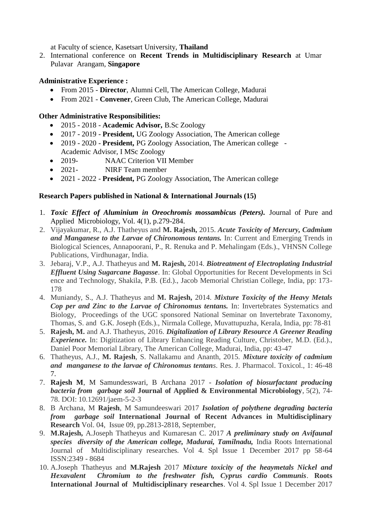at Faculty of science, Kasetsart University, **Thailand** 

2. International conference on **Recent Trends in Multidisciplinary Research** at Umar Pulavar Arangam, **Singapore** 

## **Administrative Experience :**

- From 2015 **Director**, Alumni Cell, The American College, Madurai
- From 2021 **Convener**, Green Club, The American College, Madurai

## **Other Administrative Responsibilities:**

- 2015 2018 **Academic Advisor,** B.Sc Zoology
- 2017 2019 **President,** UG Zoology Association, The American college
- 2019 2020 **President,** PG Zoology Association, The American college Academic Advisor, I MSc Zoology
- 2019- NAAC Criterion VII Member
- 2021- NIRF Team member
- 2021 2022 **President,** PG Zoology Association, The American college

## **Research Papers published in National & International Journals (15)**

- 1. *Toxic Effect of Aluminium in Oreochromis mossambicus (Peters).* Journal of Pure and Applied Microbiology, Vol. 4(1), p.279-284.
- 2. Vijayakumar, R., A.J. Thatheyus and **M. Rajesh,** 2015. *Acute Toxicity of Mercury, Cadmium and Manganese to the Larvae of Chironomous tentans.* In: Current and Emerging Trends in Biological Sciences, Annapoorani, P., R. Renuka and P. Mehalingam (Eds.)., VHNSN College Publications, Virdhunagar, India.
- 3. Jebaraj, V.P., A.J. Thatheyus and **M. Rajesh,** 2014. *Biotreatment of Electroplating Industrial Effluent Using Sugarcane Bagasse*. In: Global Opportunities for Recent Developments in Sci ence and Technology, Shakila, P.B. (Ed.)., Jacob Memorial Christian College, India, pp: 173- 178
- 4. Muniandy, S., A.J. Thatheyus and **M. Rajesh,** 2014. *Mixture Toxicity of the Heavy Metals Cop per and Zinc to the Larvae of Chironomus tentans.* In: Invertebrates Systematics and Biology, Proceedings of the UGC sponsored National Seminar on Invertebrate Taxonomy, Thomas, S. and G.K. Joseph (Eds.)., Nirmala College, Muvattupuzha, Kerala, India, pp: 78-81
- 5. **Rajesh, M.** and A.J. Thatheyus, 2016. *Digitalization of Library Resource A Greener Reading Experience.* In: Digitization of Library Enhancing Reading Culture, Christober, M.D. (Ed.)., Daniel Poor Memorial Library, The American College, Madurai, India, pp: 43-47
- 6. Thatheyus, A.J., **M. Rajesh**, S. Nallakamu and Ananth, 2015. *Mixture toxicity of cadmium and manganese to the larvae of Chironomus tentans*. Res. J. Pharmacol. Toxicol., 1: 46-48 7.
- 7. **Rajesh M**, M Samundesswari, B Archana 2017 *Isolation of biosurfactant producing bacteria from garbage soil* **Journal of Applied & Environmental Microbiology**, 5(2), 74- 78. DOI: 10.12691/jaem-5-2-3
- 8. B Archana, M **Rajesh**, M Samundeeswari 2017 *Isolation of polythene degrading bacteria from garbage soil* **International Journal of Recent Advances in Multidisciplinary Research** Vol. 04, Issue 09, pp.2813-2818, September,
- 9. **M.Rajesh,** A.Joseph Thatheyus and Kumaresan C. 2017 *A preliminary study on Avifaunal species diversity of the American college, Madurai, Tamilnadu,* India Roots International Journal of Multidisciplinary researches. Vol 4. Spl Issue 1 December 2017 pp 58-64 ISSN:2349 - 8684
- 10. A.Joseph Thatheyus and **M.Rajesh** 2017 *Mixture toxicity of the heaymetals Nickel and Hexavalent Chromium to the freshwater fish, Cyprus cardio Communis*. **Roots International Journal of Multidisciplinary researches**. Vol 4. Spl Issue 1 December 2017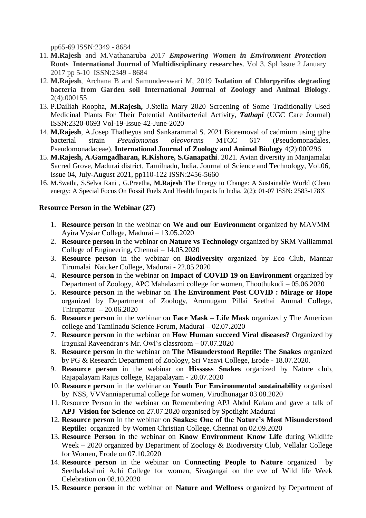pp65-69 ISSN:2349 - 8684

- 11. **M.Rajesh** and M.Vathanaruba 2017 *Empowering Women in Environment Protection*  **Roots International Journal of Multidisciplinary researches**. Vol 3. Spl Issue 2 January 2017 pp 5-10 ISSN:2349 - 8684
- 12. **M.Rajesh**, Archana B and Samundeeswari M, 2019 **Isolation of Chlorpyrifos degrading bacteria from Garden soil International Journal of Zoology and Animal Biology**. 2(4):000155
- 13. P.Dailiah Roopha, **M.Rajesh,** J.Stella Mary 2020 Screening of Some Traditionally Used Medicinal Plants For Their Potential Antibacterial Activity, *Tathapi* (UGC Care Journal) ISSN:2320-0693 Vol-19-Issue-42-June-2020
- 14. **M.Rajesh**, A.Josep Thatheyus and Sankarammal S. 2021 Bioremoval of cadmium using gthe bacterial strain *Pseudomonas oleovorans* MTCC 617 (Pseudomonadales, Pseudomonadaceae). **International Journal of Zoology and Animal Biology** 4(2):000296
- 15. **M.Rajesh, A.Gamgadharan, R.Kishore, S.Ganapathi**. 2021. Avian diversity in Manjamalai Sacred Grove, Madurai district, Tamilnadu, India. Journal of Science and Technology, Vol.06, Issue 04, July-August 2021, pp110-122 ISSN:2456-5660
- 16. M.Swathi, S.Selva Rani , G.Preetha, **M.Rajesh** The Energy to Change: A Sustainable World (Clean energy: A Special Focus On Fossil Fuels And Health Impacts In India. 2(2): 01-07 ISSN: 2583-178X

#### **Resource Person in the Webinar (27)**

- 1. **Resource person** in the webinar on **We and our Environment** organized by MAVMM Ayira Vysiar College, Madurai – 13.05.2020
- 2. **Resource person** in the webinar on **Nature vs Technology** organized by SRM Valliammai College of Engineering, Chennai – 14.05.2020
- 3. **Resource person** in the webinar on **Biodiversity** organized by Eco Club, Mannar Tirumalai Naicker College, Madurai - 22.05.2020
- 4. **Resource person** in the webinar on **Impact of COVID 19 on Environment** organized by Department of Zoology, APC Mahalaxmi college for women, Thoothukudi – 05.06.2020
- 5. **Resource person** in the webinar on **The Environment Post COVID : Mirage or Hope**  organized by Department of Zoology, Arumugam Pillai Seethai Ammal College, Thirupattur  $-20.06.2020$
- 6. **Resource person** in the webinar on **Face Mask – Life Mask** organized y The American college and Tamilnadu Science Forum, Madurai – 02.07.2020
- 7. **Resource person** in the webinar on **How Human succeed Viral diseases?** Organized by Iragukal Raveendran"s Mr. Owl"s classroom – 07.07.2020
- 8. **Resource person** in the webinar on **The Misunderstood Reptile: The Snakes** organized by PG & Research Department of Zoology, Sri Vasavi College, Erode - 18.07.2020.
- 9. **Resource person** in the webinar on **Hissssss Snakes** organized by Nature club, Rajapalayam Rajus college, Rajapalayam - 20.07.2020
- 10. **Resource person** in the webinar on **Youth For Environmental sustainability** organised by NSS, VVVanniaperumal college for women, Virudhunagar 03.08.2020
- 11. Resource Person in the webinar on Remembering APJ Abdul Kalam and gave a talk of **APJ Vision for Science** on 27.07.2020 organised by Spotlight Madurai
- 12. **Resource person** in the webinar on **Snakes: One of the Nature"s Most Misunderstood Reptile:** organized by Women Christian College, Chennai on 02.09.2020
- 13. **Resource Person** in the webinar on **Know Environment Know Life** during Wildlife Week – 2020 organized by Department of Zoology & Biodiversity Club, Vellalar College for Women, Erode on 07.10.2020
- 14. **Resource person** in the webinar on **Connecting People to Nature** organized by Seethalakshmi Achi College for women, Sivagangai on the eve of Wild life Week Celebration on 08.10.2020
- 15. **Resource person** in the webinar on **Nature and Wellness** organized by Department of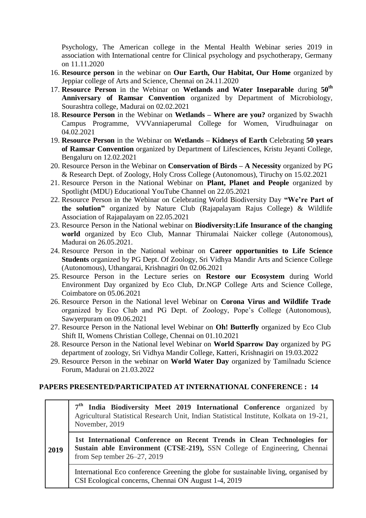Psychology, The American college in the Mental Health Webinar series 2019 in association with International centre for Clinical psychology and psychotherapy, Germany on 11.11.2020

- 16. **Resource person** in the webinar on **Our Earth, Our Habitat, Our Home** organized by Jeppiar college of Arts and Science, Chennai on 24.11.2020
- 17. **Resource Person** in the Webinar on **Wetlands and Water Inseparable** during **50th Anniversary of Ramsar Convention** organized by Department of Microbiology, Sourashtra college, Madurai on 02.02.2021
- 18. **Resource Person** in the Webinar on **Wetlands – Where are you?** organized by Swachh Campus Programme, VVVanniaperumal College for Women, Virudhuinagar on 04.02.2021
- 19. **Resource Person** in the Webinar on **Wetlands – Kidneys of Earth** Celebrating **50 years of Ramsar Convention** organized by Department of Lifesciences, Kristu Jeyanti College, Bengaluru on 12.02.2021
- 20. Resource Person in the Webinar on **Conservation of Birds – A Necessity** organized by PG & Research Dept. of Zoology, Holy Cross College (Autonomous), Tiruchy on 15.02.2021
- 21. Resource Person in the National Webinar on **Plant, Planet and People** organized by Spotlight (MDU) Educational YouTube Channel on 22.05.2021
- 22. Resource Person in the Webinar on Celebrating World Biodiversity Day **"We"re Part of the solution"** organized by Nature Club (Rajapalayam Rajus College) & Wildlife Association of Rajapalayam on 22.05.2021
- 23. Resource Person in the National webinar on **Biodiversity:Life Insurance of the changing world** organized by Eco Club, Mannar Thirumalai Naicker college (Autonomous), Madurai on 26.05.2021.
- 24. Resource Person in the National webinar on **Career opportunities to Life Science Students** organized by PG Dept. Of Zoology, Sri Vidhya Mandir Arts and Science College (Autonomous), Uthangarai, Krishnagiri 0n 02.06.2021
- 25. Resource Person in the Lecture series on **Restore our Ecosystem** during World Environment Day organized by Eco Club, Dr.NGP College Arts and Science College, Coimbatore on 05.06.2021
- 26. Resource Person in the National level Webinar on **Corona Virus and Wildlife Trade** organized by Eco Club and PG Dept. of Zoology, Pope's College (Autonomous), Sawyerpuram on 09.06.2021
- 27. Resource Person in the National level Webinar on **Oh! Butterfly** organized by Eco Club Shift II, Womens Christian College, Chennai on 01.10.2021
- 28. Resource Person in the National level Webinar on **World Sparrow Day** organized by PG department of zoology, Sri Vidhya Mandir College, Katteri, Krishnagiri on 19.03.2022
- 29. Resource Person in the webinar on **World Water Day** organized by Tamilnadu Science Forum, Madurai on 21.03.2022

## **PAPERS PRESENTED/PARTICIPATED AT INTERNATIONAL CONFERENCE : 14**

**7 th India Biodiversity Meet 2019 International Conference** organized by Agricultural Statistical Research Unit, Indian Statistical Institute, Kolkata on 19-21, November, 2019

**2019 1st International Conference on Recent Trends in Clean Technologies for Sustain able Environment (CTSE-219),** SSN College of Engineering, Chennai from Sep tember 26–27, 2019

International Eco conference Greening the globe for sustainable living, organised by CSI Ecological concerns, Chennai ON August 1-4, 2019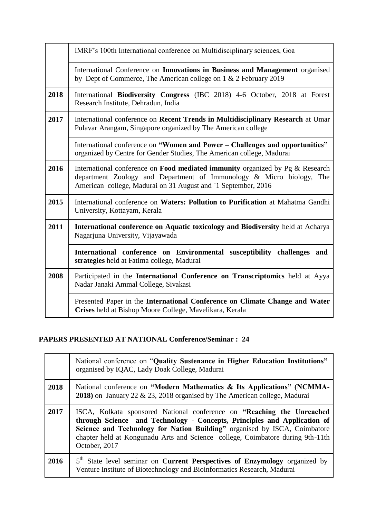|      | IMRF's 100th International conference on Multidisciplinary sciences, Goa                                                                                                                                                      |
|------|-------------------------------------------------------------------------------------------------------------------------------------------------------------------------------------------------------------------------------|
|      | International Conference on Innovations in Business and Management organised<br>by Dept of Commerce, The American college on 1 & 2 February 2019                                                                              |
| 2018 | International Biodiversity Congress (IBC 2018) 4-6 October, 2018 at Forest<br>Research Institute, Dehradun, India                                                                                                             |
| 2017 | International conference on Recent Trends in Multidisciplinary Research at Umar<br>Pulavar Arangam, Singapore organized by The American college                                                                               |
|      | International conference on "Women and Power - Challenges and opportunities"<br>organized by Centre for Gender Studies, The American college, Madurai                                                                         |
| 2016 | International conference on <b>Food mediated immunity</b> organized by Pg & Research<br>department Zoology and Department of Immunology & Micro biology, The<br>American college, Madurai on 31 August and `1 September, 2016 |
| 2015 | International conference on Waters: Pollution to Purification at Mahatma Gandhi<br>University, Kottayam, Kerala                                                                                                               |
| 2011 | International conference on Aquatic toxicology and Biodiversity held at Acharya<br>Nagarjuna University, Vijayawada                                                                                                           |
|      | International conference on Environmental susceptibility challenges and<br>strategies held at Fatima college, Madurai                                                                                                         |
| 2008 | Participated in the International Conference on Transcriptomics held at Ayya<br>Nadar Janaki Ammal College, Sivakasi                                                                                                          |
|      | Presented Paper in the International Conference on Climate Change and Water<br>Crises held at Bishop Moore College, Mavelikara, Kerala                                                                                        |

# **PAPERS PRESENTED AT NATIONAL Conference/Seminar : 24**

|      | National conference on "Quality Sustenance in Higher Education Institutions"<br>organised by IQAC, Lady Doak College, Madurai                                                                                                                                                                                                       |
|------|-------------------------------------------------------------------------------------------------------------------------------------------------------------------------------------------------------------------------------------------------------------------------------------------------------------------------------------|
| 2018 | National conference on "Modern Mathematics & Its Applications" (NCMMA-<br>2018) on January 22 & 23, 2018 organised by The American college, Madurai                                                                                                                                                                                 |
| 2017 | ISCA, Kolkata sponsored National conference on "Reaching the Unreached"<br>through Science and Technology - Concepts, Principles and Application of<br>Science and Technology for Nation Building" organised by ISCA, Coimbatore<br>chapter held at Kongunadu Arts and Science college, Coimbatore during 9th-11th<br>October, 2017 |
| 2016 | 5 <sup>th</sup> State level seminar on <b>Current Perspectives of Enzymology</b> organized by<br>Venture Institute of Biotechnology and Bioinformatics Research, Madurai                                                                                                                                                            |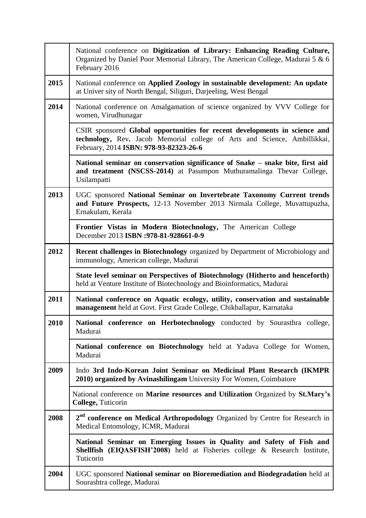|      | National conference on Digitization of Library: Enhancing Reading Culture,<br>Organized by Daniel Poor Memorial Library, The American College, Madurai 5 & 6<br>February 2016                     |
|------|---------------------------------------------------------------------------------------------------------------------------------------------------------------------------------------------------|
| 2015 | National conference on Applied Zoology in sustainable development: An update<br>at Univer sity of North Bengal, Siliguri, Darjeeling, West Bengal                                                 |
| 2014 | National conference on Amalgamation of science organized by VVV College for<br>women, Virudhunagar                                                                                                |
|      | CSIR sponsored Global opportunities for recent developments in science and<br>technology, Rev. Jacob Memorial college of Arts and Science, Ambillikkai,<br>February, 2014 ISBN: 978-93-82323-26-6 |
|      | National seminar on conservation significance of Snake – snake bite, first aid<br>and treatment (NSCSS-2014) at Pasumpon Muthuramalinga Thevar College,<br>Usilampatti                            |
| 2013 | UGC sponsored National Seminar on Invertebrate Taxonomy Current trends<br>and Future Prospects, 12-13 November 2013 Nirmala College, Muvattupuzha,<br>Ernakulam, Kerala                           |
|      | Frontier Vistas in Modern Biotechnology, The American College<br>December 2013 ISBN :978-81-928661-0-9                                                                                            |
| 2012 | <b>Recent challenges in Biotechnology</b> organized by Department of Microbiology and<br>immunology, American college, Madurai                                                                    |
|      | State level seminar on Perspectives of Biotechnology (Hitherto and henceforth)<br>held at Venture Institute of Biotechnology and Bioinformatics, Madurai                                          |
| 2011 | National conference on Aquatic ecology, utility, conservation and sustainable<br>management held at Govt. First Grade College, Chikballapur, Karnataka                                            |
| 2010 | National conference on Herbotechnology conducted by Sourasthra college,<br>Madurai                                                                                                                |
|      | National conference on Biotechnology held at Yadava College for Women,<br>Madurai                                                                                                                 |
| 2009 | Indo 3rd Indo-Korean Joint Seminar on Medicinal Plant Research (IKMPR<br>2010) organized by Avinashilingam University For Women, Coimbatore                                                       |
|      | National conference on Marine resources and Utilization Organized by St.Mary's<br>College, Tuticorin                                                                                              |
| 2008 | 2 <sup>nd</sup> conference on Medical Arthropodology Organized by Centre for Research in<br>Medical Entomology, ICMR, Madurai                                                                     |
|      | National Seminar on Emerging Issues in Quality and Safety of Fish and<br>Shellfish (EIQASFISH'2008) held at Fisheries college & Research Institute,<br>Tuticorin                                  |
| 2004 | UGC sponsored National seminar on Bioremediation and Biodegradation held at<br>Sourashtra college, Madurai                                                                                        |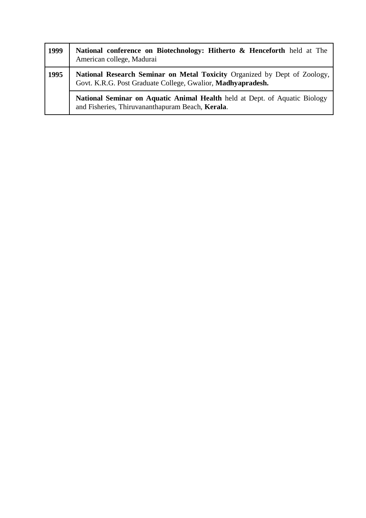| 1999 | National conference on Biotechnology: Hitherto & Henceforth held at The<br>American college, Madurai                                            |
|------|-------------------------------------------------------------------------------------------------------------------------------------------------|
| 1995 | <b>National Research Seminar on Metal Toxicity Organized by Dept of Zoology,</b><br>Govt. K.R.G. Post Graduate College, Gwalior, Madhyapradesh. |
|      | <b>National Seminar on Aquatic Animal Health</b> held at Dept. of Aquatic Biology<br>and Fisheries, Thiruvananthapuram Beach, Kerala.           |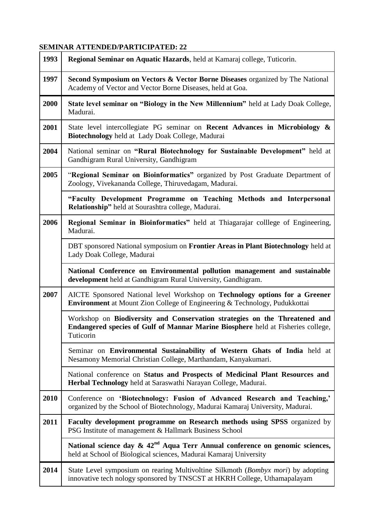# **SEMINAR ATTENDED/PARTICIPATED: 22**

| 1993 | Regional Seminar on Aquatic Hazards, held at Kamaraj college, Tuticorin.                                                                                                    |
|------|-----------------------------------------------------------------------------------------------------------------------------------------------------------------------------|
| 1997 | <b>Second Symposium on Vectors &amp; Vector Borne Diseases</b> organized by The National<br>Academy of Vector and Vector Borne Diseases, held at Goa.                       |
| 2000 | State level seminar on "Biology in the New Millennium" held at Lady Doak College,<br>Madurai.                                                                               |
| 2001 | State level intercollegiate PG seminar on <b>Recent Advances in Microbiology &amp;</b><br>Biotechnology held at Lady Doak College, Madurai                                  |
| 2004 | National seminar on "Rural Biotechnology for Sustainable Development" held at<br>Gandhigram Rural University, Gandhigram                                                    |
| 2005 | "Regional Seminar on Bioinformatics" organized by Post Graduate Department of<br>Zoology, Vivekananda College, Thiruvedagam, Madurai.                                       |
|      | "Faculty Development Programme on Teaching Methods and Interpersonal<br>Relationship" held at Sourashtra college, Madurai.                                                  |
| 2006 | Regional Seminar in Bioinformatics" held at Thiagarajar colllege of Engineering,<br>Madurai.                                                                                |
|      | DBT sponsored National symposium on Frontier Areas in Plant Biotechnology held at<br>Lady Doak College, Madurai                                                             |
|      | National Conference on Environmental pollution management and sustainable<br>development held at Gandhigram Rural University, Gandhigram.                                   |
| 2007 | AICTE Sponsored National level Workshop on Technology options for a Greener<br><b>Environment</b> at Mount Zion College of Engineering & Technology, Pudukkottai            |
|      | Workshop on Biodiversity and Conservation strategies on the Threatened and<br>Endangered species of Gulf of Mannar Marine Biosphere held at Fisheries college,<br>Tuticorin |
|      | Seminar on Environmental Sustainability of Western Ghats of India held at<br>Nesamony Memorial Christian College, Marthandam, Kanyakumari.                                  |
|      | National conference on Status and Prospects of Medicinal Plant Resources and<br>Herbal Technology held at Saraswathi Narayan College, Madurai.                              |
| 2010 | Conference on 'Biotechnology: Fusion of Advanced Research and Teaching,'<br>organized by the School of Biotechnology, Madurai Kamaraj University, Madurai.                  |
| 2011 | Faculty development programme on Research methods using SPSS organized by<br>PSG Institute of management & Hallmark Business School                                         |
|      | National science day $\& 42^{\text{nd}}$ Aqua Terr Annual conference on genomic sciences,<br>held at School of Biological sciences, Madurai Kamaraj University              |
| 2014 | State Level symposium on rearing Multivoltine Silkmoth (Bombyx mori) by adopting<br>innovative tech nology sponsored by TNSCST at HKRH College, Uthamapalayam               |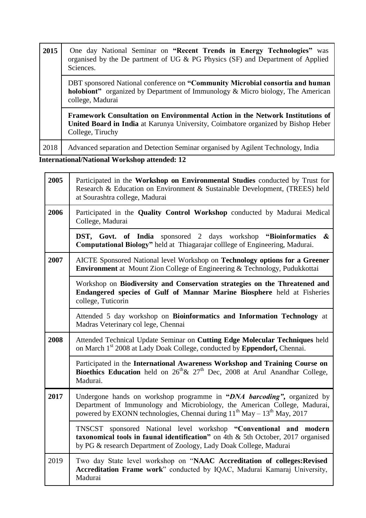| 2015 | One day National Seminar on "Recent Trends in Energy Technologies" was<br>organised by the De partment of UG & PG Physics (SF) and Department of Applied<br>Sciences.                         |
|------|-----------------------------------------------------------------------------------------------------------------------------------------------------------------------------------------------|
|      | DBT sponsored National conference on "Community Microbial consortia and human<br><b>holobiont</b> " organized by Department of Immunology & Micro biology, The American<br>college, Madurai   |
|      | Framework Consultation on Environmental Action in the Network Institutions of<br><b>United Board in India</b> at Karunya University, Coimbatore organized by Bishop Heber<br>College, Tiruchy |
| 2018 | Advanced separation and Detection Seminar organised by Agilent Technology, India                                                                                                              |

**International/National Workshop attended: 12**

| 2005 | Participated in the Workshop on Environmental Studies conducted by Trust for<br>Research & Education on Environment & Sustainable Development, (TREES) held<br>at Sourashtra college, Madurai                                                          |
|------|--------------------------------------------------------------------------------------------------------------------------------------------------------------------------------------------------------------------------------------------------------|
| 2006 | Participated in the Quality Control Workshop conducted by Madurai Medical<br>College, Madurai                                                                                                                                                          |
|      | DST, Govt. of India sponsored 2 days workshop "Bioinformatics"<br>$\boldsymbol{\&}$<br>Computational Biology" held at Thiagarajar colllege of Engineering, Madurai.                                                                                    |
| 2007 | AICTE Sponsored National level Workshop on Technology options for a Greener<br>Environment at Mount Zion College of Engineering & Technology, Pudukkottai                                                                                              |
|      | Workshop on Biodiversity and Conservation strategies on the Threatened and<br>Endangered species of Gulf of Mannar Marine Biosphere held at Fisheries<br>college, Tuticorin                                                                            |
|      | Attended 5 day workshop on Bioinformatics and Information Technology at<br>Madras Veterinary col lege, Chennai                                                                                                                                         |
| 2008 | Attended Technical Update Seminar on Cutting Edge Molecular Techniques held<br>on March 1 <sup>st</sup> 2008 at Lady Doak College, conducted by <b>Eppendorf</b> , Chennai.                                                                            |
|      | Participated in the International Awareness Workshop and Training Course on<br><b>Bioethics Education</b> held on $26^{th}$ & $27^{th}$ Dec, 2008 at Arul Anandhar College,<br>Madurai.                                                                |
| 2017 | Undergone hands on workshop programme in "DNA barcoding", organized by<br>Department of Immunology and Microbiology, the American College, Madurai,<br>powered by EXONN technologies, Chennai during 11 <sup>th</sup> May - 13 <sup>th</sup> May, 2017 |
|      | TNSCST sponsored National level workshop "Conventional and modern<br>taxonomical tools in faunal identification" on 4th $\&$ 5th October, 2017 organised<br>by PG & research Department of Zoology, Lady Doak College, Madurai                         |
| 2019 | Two day State level workshop on "NAAC Accreditation of colleges: Revised<br>Accreditation Frame work" conducted by IQAC, Madurai Kamaraj University,<br>Madurai                                                                                        |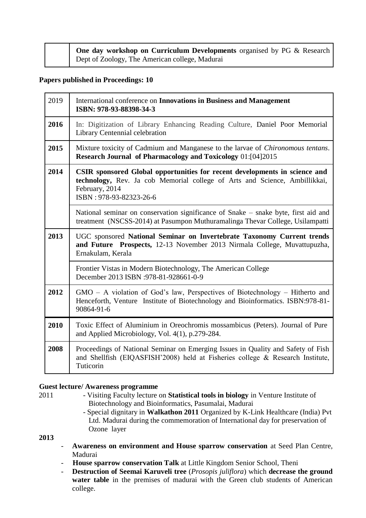|  | <b>One day workshop on Curriculum Developments</b> organised by PG $\&$ Research $\parallel$ |
|--|----------------------------------------------------------------------------------------------|
|  | Dept of Zoology, The American college, Madurai                                               |

#### **Papers published in Proceedings: 10**

| 2019 | International conference on <b>Innovations in Business and Management</b><br>ISBN: 978-93-88398-34-3                                                                                                  |
|------|-------------------------------------------------------------------------------------------------------------------------------------------------------------------------------------------------------|
| 2016 | In: Digitization of Library Enhancing Reading Culture, Daniel Poor Memorial<br>Library Centennial celebration                                                                                         |
| 2015 | Mixture toxicity of Cadmium and Manganese to the larvae of Chironomous tentans.<br><b>Research Journal of Pharmacology and Toxicology 01:[04]2015</b>                                                 |
| 2014 | CSIR sponsored Global opportunities for recent developments in science and<br>technology, Rev. Ja cob Memorial college of Arts and Science, Ambillikkai,<br>February, 2014<br>ISBN: 978-93-82323-26-6 |
|      | National seminar on conservation significance of Snake – snake byte, first aid and<br>treatment (NSCSS-2014) at Pasumpon Muthuramalinga Thevar College, Usilampatti                                   |
| 2013 | UGC sponsored National Seminar on Invertebrate Taxonomy Current trends<br>and Future Prospects, 12-13 November 2013 Nirmala College, Muvattupuzha,<br>Ernakulam, Kerala                               |
|      | Frontier Vistas in Modern Biotechnology, The American College<br>December 2013 ISBN :978-81-928661-0-9                                                                                                |
| 2012 | $GMO - A$ violation of God's law, Perspectives of Biotechnology – Hitherto and<br>Henceforth, Venture Institute of Biotechnology and Bioinformatics. ISBN:978-81-<br>90864-91-6                       |
| 2010 | Toxic Effect of Aluminium in Oreochromis mossambicus (Peters). Journal of Pure<br>and Applied Microbiology, Vol. 4(1), p.279-284.                                                                     |
| 2008 | Proceedings of National Seminar on Emerging Issues in Quality and Safety of Fish<br>and Shellfish (EIQASFISH'2008) held at Fisheries college & Research Institute,<br>Tuticorin                       |

#### **Guest lecture/ Awareness programme**

- 2011 Visiting Faculty lecture on **Statistical tools in biology** in Venture Institute of Biotechnology and Bioinformatics, Pasumalai, Madurai
	- Special dignitary in **Walkathon 2011** Organized by K-Link Healthcare (India) Pvt Ltd. Madurai during the commemoration of International day for preservation of Ozone layer

**2013** 

- **Awareness on environment and House sparrow conservation** at Seed Plan Centre, Madurai
- **House sparrow conservation Talk** at Little Kingdom Senior School, Theni
- **Destruction of Seemai Karuveli tree** (*Prosopis juliflora*) which **decrease the ground water table** in the premises of madurai with the Green club students of American college.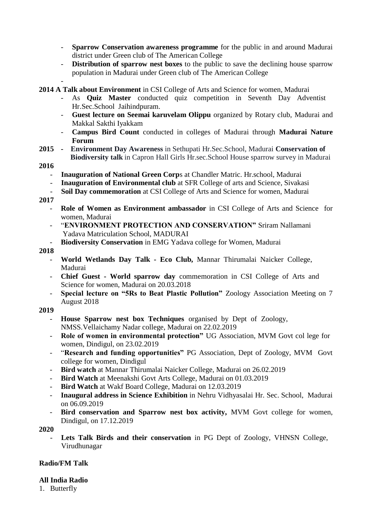- **Sparrow Conservation awareness programme** for the public in and around Madurai district under Green club of The American College
- **Distribution of sparrow nest boxes** to the public to save the declining house sparrow population in Madurai under Green club of The American College

- **2014 A Talk about Environment** in CSI College of Arts and Science for women, Madurai

- As **Quiz Master** conducted quiz competition in Seventh Day Adventist Hr.Sec.School Jaihindpuram.
- **Guest lecture on Seemai karuvelam Olippu** organized by Rotary club, Madurai and Makkal Sakthi Iyakkam
- **Campus Bird Count** conducted in colleges of Madurai through **Madurai Nature Forum**
- **2015 Environment Day Awareness** in Sethupati Hr.Sec.School, Madurai **Conservation of Biodiversity talk** in Capron Hall Girls Hr.sec.School House sparrow survey in Madurai

#### **2016**

- **Inauguration of National Green Corps at Chandler Matric. Hr.school, Madurai**
- **Inauguration of Environmental club** at SFR College of arts and Science, Sivakasi
- **Soil Day commemoration** at CSI College of Arts and Science for women, Madurai

**2017** 

- **Role of Women as Environment ambassador** in CSI College of Arts and Science for women, Madurai
- "**ENVIRONMENT PROTECTION AND CONSERVATION"** Sriram Nallamani Yadava Matriculation School, MADURAI
- **Biodiversity Conservation** in EMG Yadava college for Women, Madurai

#### **2018**

- **World Wetlands Day Talk - Eco Club,** Mannar Thirumalai Naicker College, Madurai
- **Chief Guest - World sparrow day** commemoration in CSI College of Arts and Science for women, Madurai on 20.03.2018
- **Special lecture on "5Rs to Beat Plastic Pollution"** Zoology Association Meeting on 7 August 2018

#### **2019**

- **House Sparrow nest box Techniques** organised by Dept of Zoology, NMSS.Vellaichamy Nadar college, Madurai on 22.02.2019
- **Role of women in environmental protection"** UG Association, MVM Govt col lege for women, Dindigul, on 23.02.2019
- "**Research and funding opportunities"** PG Association, Dept of Zoology, MVM Govt college for women, Dindigul
- **Bird watch** at Mannar Thirumalai Naicker College, Madurai on 26.02.2019
- **Bird Watch** at Meenakshi Govt Arts College, Madurai on 01.03.2019
- **Bird Watch** at Wakf Board College, Madurai on 12.03.2019
- **Inaugural address in Science Exhibition** in Nehru Vidhyasalai Hr. Sec. School, Madurai on 06.09.2019
- **Bird conservation and Sparrow nest box activity,** MVM Govt college for women, Dindigul, on 17.12.2019

#### **2020**

Lets Talk Birds and their conservation in PG Dept of Zoology, VHNSN College, Virudhunagar

## **Radio/FM Talk**

#### **All India Radio**

1. Butterfly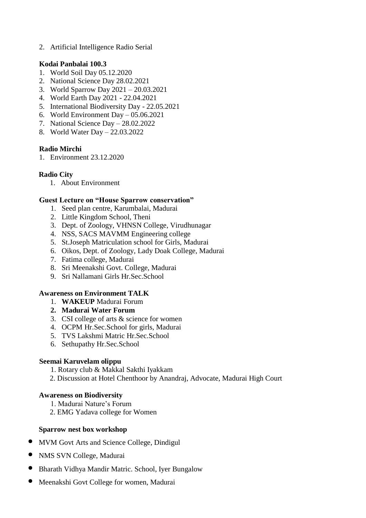2. Artificial Intelligence Radio Serial

#### **Kodai Panbalai 100.3**

- 1. World Soil Day 05.12.2020
- 2. National Science Day 28.02.2021
- 3. World Sparrow Day 2021 20.03.2021
- 4. World Earth Day 2021 22.04.2021
- 5. International Biodiversity Day 22.05.2021
- 6. World Environment Day 05.06.2021
- 7. National Science Day 28.02.2022
- 8. World Water Day 22.03.2022

## **Radio Mirchi**

1. Environment 23.12.2020

## **Radio City**

1. About Environment

## **Guest Lecture on "House Sparrow conservation"**

- 1. Seed plan centre, Karumbalai, Madurai
- 2. Little Kingdom School, Theni
- 3. Dept. of Zoology, VHNSN College, Virudhunagar
- 4. NSS, SACS MAVMM Engineering college
- 5. St.Joseph Matriculation school for Girls, Madurai
- 6. Oikos, Dept. of Zoology, Lady Doak College, Madurai
- 7. Fatima college, Madurai
- 8. Sri Meenakshi Govt. College, Madurai
- 9. Sri Nallamani Girls Hr.Sec.School

## **Awareness on Environment TALK**

- 1. **WAKEUP** Madurai Forum
- **2. Madurai Water Forum**
- 3. CSI college of arts & science for women
- 4. OCPM Hr.Sec.School for girls, Madurai
- 5. TVS Lakshmi Matric Hr.Sec.School
- 6. Sethupathy Hr.Sec.School

## **Seemai Karuvelam olippu**

- 1. Rotary club & Makkal Sakthi Iyakkam
- 2. Discussion at Hotel Chenthoor by Anandraj, Advocate, Madurai High Court

## **Awareness on Biodiversity**

- 1. Madurai Nature"s Forum
- 2. EMG Yadava college for Women

## **Sparrow nest box workshop**

- MVM Govt Arts and Science College, Dindigul
- NMS SVN College, Madurai
- Bharath Vidhya Mandir Matric. School, Iyer Bungalow
- Meenakshi Govt College for women, Madurai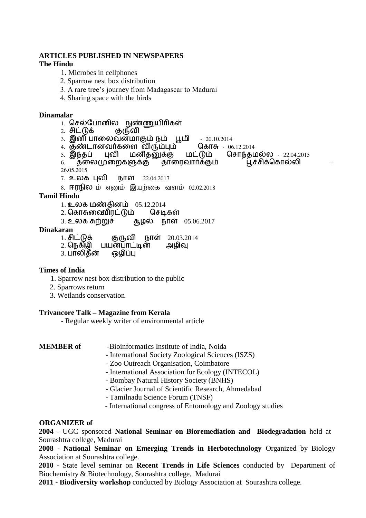#### **ARTICLES PUBLISHED IN NEWSPAPERS The Hindu**

#### 1. Microbes in cellphones

- 2. Sparrow nest box distribution
- 3. A rare tree"s journey from Madagascar to Madurai
- 4. Sharing space with the birds

#### **Dinamalar**

- 1. செல்போனில் நுண்ணுயிரிகள்<br>2. சிட்டுக் குருவி
- 2. சிட்டுக்
- 3. இனி பாலைவன்மாகும் நம் பூமி 20.10.2014<br>4. குண்டானவர்களை விரும்பம் கொசு 06.12.2014
- 
- 4. குண்டானவர்களை விரும்பும் கொ<br>5. இந்தப் புவி மனிதனுக்கு மட்டும்
- |க்கு மட்டும் சொந்தமல்ல 22.04.2015<br>தாரைவார்க்கும் பூச்சிக்கொல்லி 6. தலைமுறைகளுக்கு 26.05.2015
- 7. உயக புலி நோள் 22.04.2017
- 8. **ஈரநில** ம் எனும் இயற்கை வளம் 02.02.2018

## **Tamil Hindu**

- 
- 1. உலக மண்தினம் 05.12.2014<br>2. கொசுனைிாட்டும் செடிகள்
- 2. கொசுனைிரட்டும்<br>3. உலக சுற்றுச் து. தம் நாள் 05.06.2017

#### **Dinakaran**

- 1. ெிட்டுக் குருலி நோள் 20.03.2014
- 2. நெகிழி பயன்பாட்டின்<br>3. பாலிகீன் ஒழிப்பு
- 3. பாலிகீன்

#### **Times of India**

- 1. Sparrow nest box distribution to the public
- 2. Sparrows return
- 3. Wetlands conservation

#### **Trivancore Talk – Magazine from Kerala**

- Regular weekly writer of environmental article

#### **MEMBER of** -Bioinformatics Institute of India, Noida

- 
- International Society Zoological Sciences (ISZS)
- Zoo Outreach Organisation, Coimbatore
- International Association for Ecology (INTECOL)
- Bombay Natural History Society (BNHS)
- Glacier Journal of Scientific Research, Ahmedabad
- Tamilnadu Science Forum (TNSF)
- International congress of Entomology and Zoology studies

#### **ORGANIZER of**

**2004** - UGC sponsored **National Seminar on Bioremediation and Biodegradation** held at Sourashtra college, Madurai

**2008** - **National Seminar on Emerging Trends in Herbotechnology** Organized by Biology Association at Sourashtra college.

**2010** - State level seminar on **Recent Trends in Life Sciences** conducted by Department of Biochemistry & Biotechnology, Sourashtra college, Madurai

**2011 - Biodiversity workshop** conducted by Biology Association at Sourashtra college.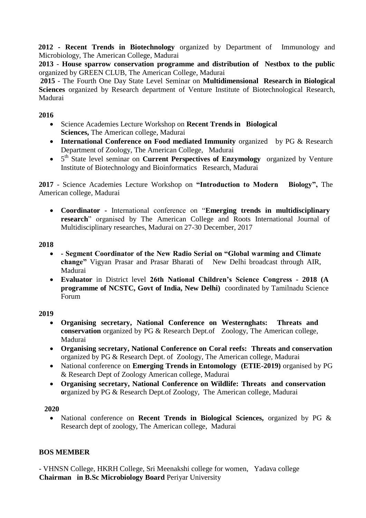**2012 - Recent Trends in Biotechnology** organized by Department of Immunology and Microbiology, The American College, Madurai

**2013** - **House sparrow conservation programme and distribution of Nestbox to the public**  organized by GREEN CLUB, The American College, Madurai

**2015** - The Fourth One Day State Level Seminar on **Multidimensional Research in Biological Sciences** organized by Research department of Venture Institute of Biotechnological Research, Madurai

## **2016**

- Science Academies Lecture Workshop on **Recent Trends in Biological Sciences,** The American college, Madurai
- **International Conference on Food mediated Immunity** organized by PG & Research Department of Zoology, The American College, Madurai
- 5<sup>th</sup> State level seminar on **Current Perspectives of Enzymology** organized by Venture Institute of Biotechnology and Bioinformatics Research, Madurai

**2017** - Science Academies Lecture Workshop on **"Introduction to Modern Biology",** The American college, Madurai

 **Coordinator -** International conference on "**Emerging trends in multidisciplinary research**" organised by The American College and Roots International Journal of Multidisciplinary researches, Madurai on 27-30 December, 2017

# **2018**

- **- Segment Coordinator of the New Radio Serial on "Global warming and Climate change"** Vigyan Prasar and Prasar Bharati of New Delhi broadcast through AIR, Madurai
- **Evaluator** in District level **26th National Children"s Science Congress - 2018 (A programme of NCSTC, Govt of India, New Delhi)** coordinated by Tamilnadu Science Forum

## **2019**

- **Organising secretary, National Conference on Westernghats: Threats and conservation** organized by PG & Research Dept.of Zoology, The American college, Madurai
- **Organising secretary, National Conference on Coral reefs: Threats and conservation**  organized by PG & Research Dept. of Zoology, The American college, Madurai
- National conference on **Emerging Trends in Entomology** (**ETIE-2019**) organised by PG & Research Dept of Zoology American college, Madurai
- **Organising secretary, National Conference on Wildlife: Threats and conservation o**rganized by PG & Research Dept.of Zoology, The American college, Madurai

# **2020**

 National conference on **Recent Trends in Biological Sciences,** organized by PG & Research dept of zoology, The American college, Madurai

# **BOS MEMBER**

- VHNSN College, HKRH College, Sri Meenakshi college for women, Yadava college **Chairman in B.Sc Microbiology Board** Periyar University